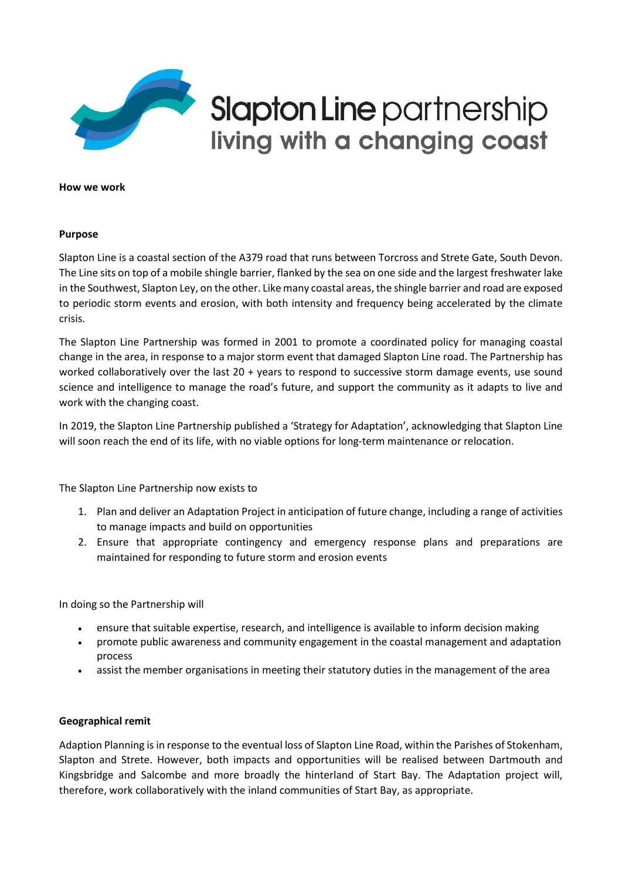

#### **How we work**

### **Purpose**

Slapton Line is a coastal section of the A379 road that runs between Torcross and Strete Gate, South Devon. The Line sits on top of a mobile shingle barrier, flanked by the sea on one side and the largest freshwater lake in the Southwest, Slapton Ley, on the other. Like many coastal areas, the shingle barrier and road are exposed to periodic storm events and erosion, with both intensity and frequency being accelerated by the climate crisis.

The Slapton Line Partnership was formed in 2001 to promote a coordinated policy for managing coastal change in the area, in response to a major storm event that damaged Slapton Line road. The Partnership has worked collaboratively over the last 20 + years to respond to successive storm damage events, use sound science and intelligence to manage the road's future, and support the community as it adapts to live and work with the changing coast.

In 2019, the Slapton Line Partnership published a 'Strategy for Adaptation', acknowledging that Slapton Line will soon reach the end of its life, with no viable options for long-term maintenance or relocation.

The Slapton Line Partnership now exists to

- 1. Plan and deliver an Adaptation Project in anticipation of future change, including a range of activities to manage impacts and build on opportunities
- 2. Ensure that appropriate contingency and emergency response plans and preparations are maintained for responding to future storm and erosion events

In doing so the Partnership will

- ensure that suitable expertise, research, and intelligence is available to inform decision making
- promote public awareness and community engagement in the coastal management and adaptation process
- assist the member organisations in meeting their statutory duties in the management of the area

### **Geographical remit**

Adaption Planning is in response to the eventual loss of Slapton Line Road, within the Parishes of Stokenham, Slapton and Strete. However, both impacts and opportunities will be realised between Dartmouth and Kingsbridge and Salcombe and more broadly the hinterland of Start Bay. The Adaptation project will, therefore, work collaboratively with the inland communities of Start Bay, as appropriate.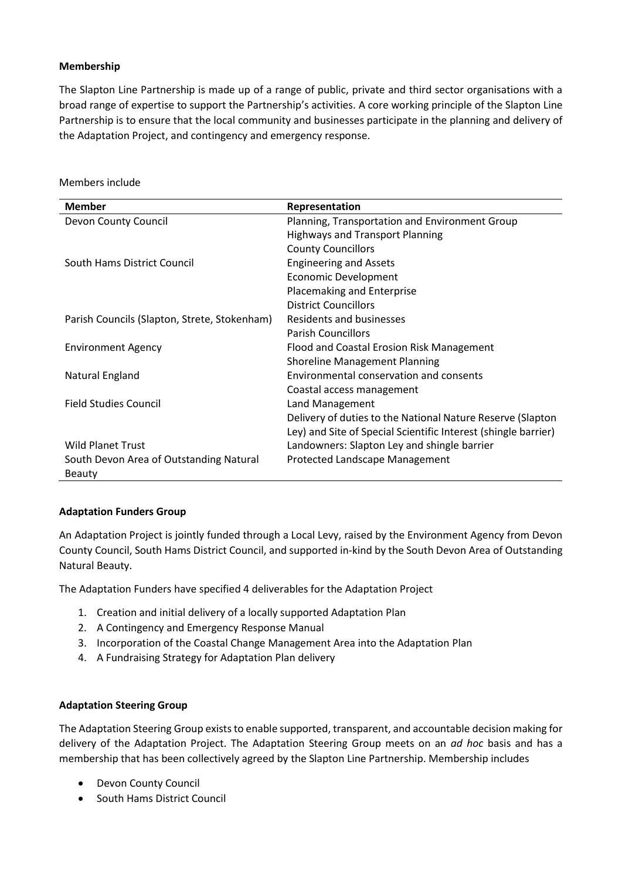# **Membership**

The Slapton Line Partnership is made up of a range of public, private and third sector organisations with a broad range of expertise to support the Partnership's activities. A core working principle of the Slapton Line Partnership is to ensure that the local community and businesses participate in the planning and delivery of the Adaptation Project, and contingency and emergency response.

| <b>Member</b>                                | Representation                                                 |
|----------------------------------------------|----------------------------------------------------------------|
| Devon County Council                         | Planning, Transportation and Environment Group                 |
|                                              | <b>Highways and Transport Planning</b>                         |
|                                              | <b>County Councillors</b>                                      |
| South Hams District Council                  | <b>Engineering and Assets</b>                                  |
|                                              | <b>Economic Development</b>                                    |
|                                              | Placemaking and Enterprise                                     |
|                                              | <b>District Councillors</b>                                    |
| Parish Councils (Slapton, Strete, Stokenham) | Residents and businesses                                       |
|                                              | <b>Parish Councillors</b>                                      |
| <b>Environment Agency</b>                    | Flood and Coastal Erosion Risk Management                      |
|                                              | <b>Shoreline Management Planning</b>                           |
| Natural England                              | Environmental conservation and consents                        |
|                                              | Coastal access management                                      |
| <b>Field Studies Council</b>                 | Land Management                                                |
|                                              | Delivery of duties to the National Nature Reserve (Slapton     |
|                                              | Ley) and Site of Special Scientific Interest (shingle barrier) |
| Wild Planet Trust                            | Landowners: Slapton Ley and shingle barrier                    |
|                                              |                                                                |
| South Devon Area of Outstanding Natural      | Protected Landscape Management                                 |
| Beauty                                       |                                                                |

Members include

### **Adaptation Funders Group**

An Adaptation Project is jointly funded through a Local Levy, raised by the Environment Agency from Devon County Council, South Hams District Council, and supported in-kind by the South Devon Area of Outstanding Natural Beauty.

The Adaptation Funders have specified 4 deliverables for the Adaptation Project

- 1. Creation and initial delivery of a locally supported Adaptation Plan
- 2. A Contingency and Emergency Response Manual
- 3. Incorporation of the Coastal Change Management Area into the Adaptation Plan
- 4. A Fundraising Strategy for Adaptation Plan delivery

### **Adaptation Steering Group**

The Adaptation Steering Group exists to enable supported, transparent, and accountable decision making for delivery of the Adaptation Project. The Adaptation Steering Group meets on an *ad hoc* basis and has a membership that has been collectively agreed by the Slapton Line Partnership. Membership includes

- Devon County Council
- South Hams District Council